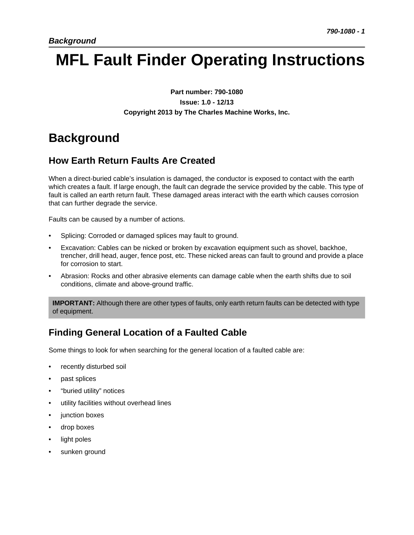# **MFL Fault Finder Operating Instructions**

**Part number: 790-1080 Issue: 1.0 - 12/13 Copyright 2013 by The Charles Machine Works, Inc.**

# **Background**

### **How Earth Return Faults Are Created**

When a direct-buried cable's insulation is damaged, the conductor is exposed to contact with the earth which creates a fault. If large enough, the fault can degrade the service provided by the cable. This type of fault is called an earth return fault. These damaged areas interact with the earth which causes corrosion that can further degrade the service.

Faults can be caused by a number of actions.

- Splicing: Corroded or damaged splices may fault to ground.
- Excavation: Cables can be nicked or broken by excavation equipment such as shovel, backhoe, trencher, drill head, auger, fence post, etc. These nicked areas can fault to ground and provide a place for corrosion to start.
- Abrasion: Rocks and other abrasive elements can damage cable when the earth shifts due to soil conditions, climate and above-ground traffic.

**IMPORTANT:** Although there are other types of faults, only earth return faults can be detected with type of equipment.

### **Finding General Location of a Faulted Cable**

Some things to look for when searching for the general location of a faulted cable are:

- recently disturbed soil
- past splices
- "buried utility" notices
- utility facilities without overhead lines
- junction boxes
- drop boxes
- light poles
- sunken ground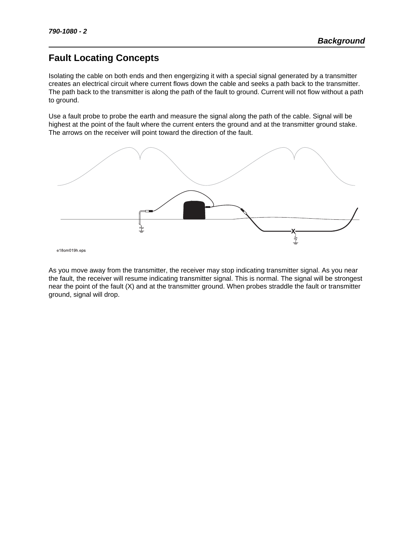### **Fault Locating Concepts**

Isolating the cable on both ends and then engergizing it with a special signal generated by a transmitter creates an electrical circuit where current flows down the cable and seeks a path back to the transmitter. The path back to the transmitter is along the path of the fault to ground. Current will not flow without a path to ground.

Use a fault probe to probe the earth and measure the signal along the path of the cable. Signal will be highest at the point of the fault where the current enters the ground and at the transmitter ground stake. The arrows on the receiver will point toward the direction of the fault.



e18om019h.eps

As you move away from the transmitter, the receiver may stop indicating transmitter signal. As you near the fault, the receiver will resume indicating transmitter signal. This is normal. The signal will be strongest near the point of the fault (X) and at the transmitter ground. When probes straddle the fault or transmitter ground, signal will drop.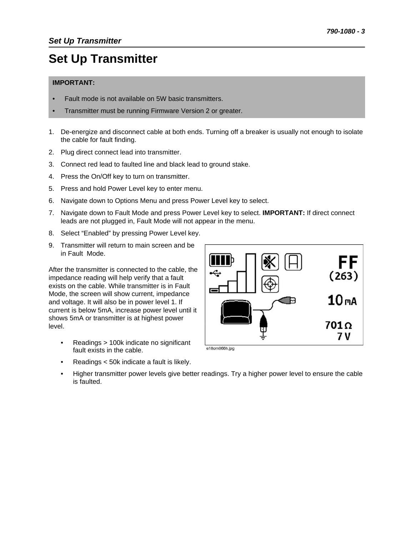# **Set Up Transmitter**

#### **IMPORTANT:**

- Fault mode is not available on 5W basic transmitters.
- Transmitter must be running Firmware Version 2 or greater.
- 1. De-energize and disconnect cable at both ends. Turning off a breaker is usually not enough to isolate the cable for fault finding.
- 2. Plug direct connect lead into transmitter.
- 3. Connect red lead to faulted line and black lead to ground stake.
- 4. Press the On/Off key to turn on transmitter.
- 5. Press and hold Power Level key to enter menu.
- 6. Navigate down to Options Menu and press Power Level key to select.
- 7. Navigate down to Fault Mode and press Power Level key to select. **IMPORTANT:** If direct connect leads are not plugged in, Fault Mode will not appear in the menu.
- 8. Select "Enabled" by pressing Power Level key.
- 9. Transmitter will return to main screen and be in Fault Mode.

After the transmitter is connected to the cable, the impedance reading will help verify that a fault exists on the cable. While transmitter is in Fault Mode, the screen will show current, impedance and voltage. It will also be in power level 1. If current is below 5mA, increase power level until it shows 5mA or transmitter is at highest power level.

- Readings > 100k indicate no significant fault exists in the cable.
- Readings < 50k indicate a fault is likely.



• Higher transmitter power levels give better readings. Try a higher power level to ensure the cable is faulted.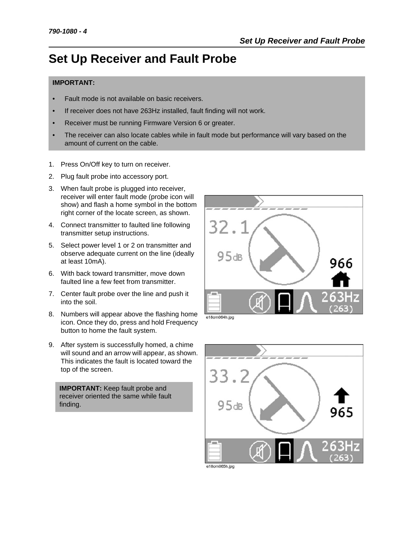# **Set Up Receiver and Fault Probe**

#### **IMPORTANT:**

- Fault mode is not available on basic receivers.
- If receiver does not have 263Hz installed, fault finding will not work.
- Receiver must be running Firmware Version 6 or greater.
- The receiver can also locate cables while in fault mode but performance will vary based on the amount of current on the cable.
- 1. Press On/Off key to turn on receiver.
- 2. Plug fault probe into accessory port.
- 3. When fault probe is plugged into receiver, receiver will enter fault mode (probe icon will show) and flash a home symbol in the bottom right corner of the locate screen, as shown.
- 4. Connect transmitter to faulted line following transmitter setup instructions.
- 5. Select power level 1 or 2 on transmitter and observe adequate current on the line (ideally at least 10mA).
- 6. With back toward transmitter, move down faulted line a few feet from transmitter.
- 7. Center fault probe over the line and push it into the soil.
- 8. Numbers will appear above the flashing home icon. Once they do, press and hold Frequency button to home the fault system.
- 9. After system is successfully homed, a chime will sound and an arrow will appear, as shown. This indicates the fault is located toward the top of the screen.

**IMPORTANT:** Keep fault probe and receiver oriented the same while fault finding.



e18om064h.jpg